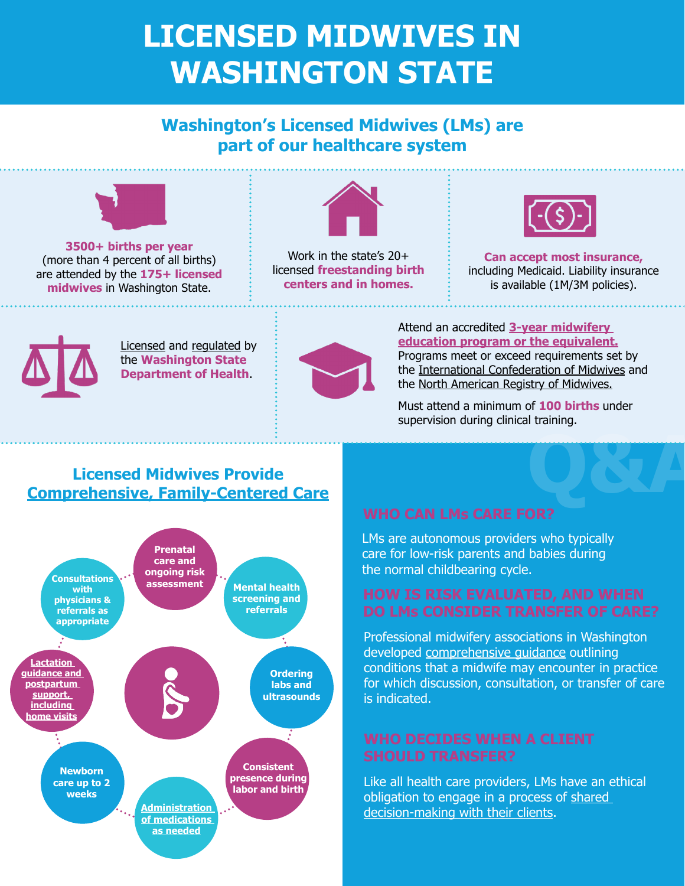## **LICENSED MIDWIVES IN WASHINGTON STATE**

## **Washington's Licensed Midwives (LMs) are part of our healthcare system**



**3500+ births per year** (more than 4 percent of all births) are attended by the **175+ licensed midwives** in Washington State.



Work in the state's 20+ licensed **freestanding birth centers and in homes.**



**Can accept most insurance,** including Medicaid. Liability insurance is available (1M/3M policies).



[Licensed](https://app.leg.wa.gov/wac/default.aspx?cite=246-834) and [regulated](https://app.leg.wa.gov/rcw/default.aspx?cite=18.50) by the **Washington State Department of Health**.



Attend an accredited **[3-year midwifery](https://www.qualityhealth.org/smoothtransitions/wp-content/uploads/sites/7/2022/04/Scope-of-Practice-for-Licensed-Midwives-in-Washington-State.pdf)  [education program or the equivalent.](https://www.qualityhealth.org/smoothtransitions/wp-content/uploads/sites/7/2022/04/Scope-of-Practice-for-Licensed-Midwives-in-Washington-State.pdf)** Programs meet or exceed requirements set by the [International Confederation of Midwives](https://www.internationalmidwives.org/) and the [North American Registry of Midwives.](http://narm.org/)

Must attend a minimum of **100 births** under supervision during clinical training.

### **Licensed Midwives Provide [Comprehensive, Family-Centered Care](https://www.citizensformidwifery.org/mmoc)**



# **Q&A**

LMs are autonomous providers who typically care for low-risk parents and babies during the normal childbearing cycle.

Professional midwifery associations in Washington developed [comprehensive guidance](https://www.washingtonmidwives.org/uploads/1/1/3/8/113879963/final_-_maws_indications_for_discussion_conulstation_and_transfer_of_care_in_a_home_or_birth_center_midwifery_practice_1_.pdf) outlining conditions that a midwife may encounter in practice for which discussion, consultation, or transfer of care is indicated.

Like all health care providers, LMs have an ethical obligation to engage in a process of shared [decision-making with their clients.](https://birthswell.com/wp-content/uploads/2021/12/shared-decision-making-position-statement4.15.pdf)